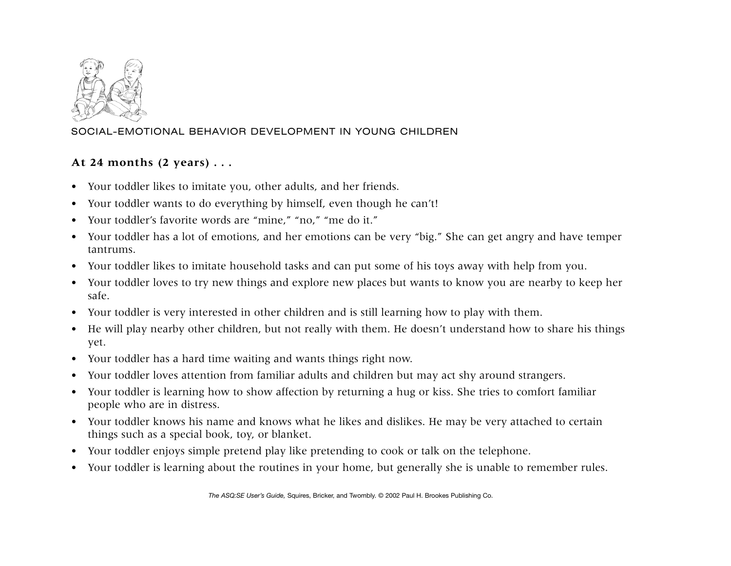

## SOCIAL-EMOTIONAL BEHAVIOR DEVELOPMENT IN YOUNG CHILDREN

## **At 24 months (2 years) . . .**

- Your toddler likes to imitate you, other adults, and her friends.
- •Your toddler wants to do everything by himself, even though he can't!
- •Your toddler's favorite words are "mine," "no," "me do it."
- Your toddler has a lot of emotions, and her emotions can be very "big." She can get angry and have temper tantrums.
- Your toddler likes to imitate household tasks and can put some of his toys away with help from you.
- Your toddler loves to try new things and explore new places but wants to know you are nearby to keep her safe.
- Your toddler is very interested in other children and is still learning how to play with them.
- He will play nearby other children, but not really with them. He doesn't understand how to share his things yet.
- Your toddler has a hard time waiting and wants things right now.
- $\bullet$ Your toddler loves attention from familiar adults and children but may act shy around strangers.
- Your toddler is learning how to show affection by returning a hug or kiss. She tries to comfort familiar people who are in distress.
- Your toddler knows his name and knows what he likes and dislikes. He may be very attached to certain things such as a special book, toy, or blanket.
- Your toddler enjoys simple pretend play like pretending to cook or talk on the telephone.
- Your toddler is learning about the routines in your home, but generally she is unable to remember rules.

*The ASQ:SE User's Guide,* Squires, Bricker, and Twombly. © 2002 Paul H. Brookes Publishing Co.